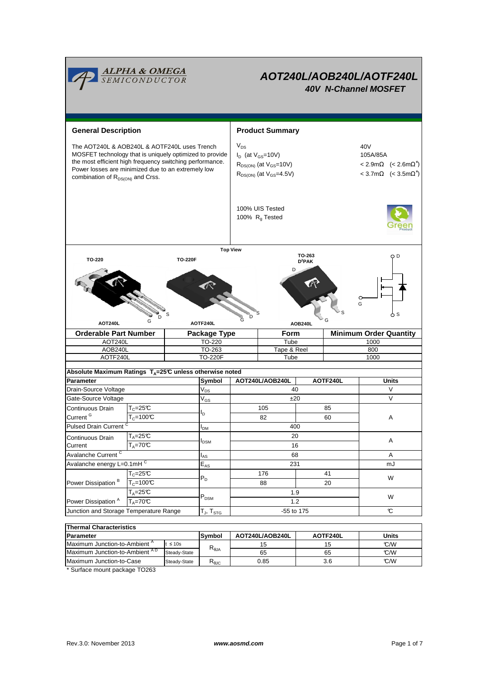

# **AOT240L/AOB240L/AOTF240L 40V N-Channel MOSFET**

**General Description Accord Product Summary**  $V_{DS}$  $I_D$  (at  $V_{GS}$ =10V) 105A/85A  $R_{DS(ON)}$  (at  $V_{GS}=10V$ ) ∗ )  $R_{DS(ON)}$  (at  $V_{GS}$ =4.5V) ∗ ) 100% UIS Tested 100%  $R<sub>g</sub>$  Tested The AOT240L & AOB240L & AOTF240L uses Trench  $\begin{vmatrix} V_{DS} \end{vmatrix}$ MOSFET technology that is uniquely optimized to provide the most efficient high frequency switching performance. Power losses are minimized due to an extremely low combination of  $R_{DS(ON)}$  and Crss. **Orderable Part Number | Package Type | Form | Minimum Order Quantity** AOT240L AOTF240L TO-220F Tube 1000 TO-220 Tube 1000 AOB240L 10-263 Tape & Reel 800 G D S **TO-263 D<sup>2</sup>PAK** G **DED** 's G D S D S G **Top View TO-220 TO-220F AOT240L AOTF240L AOB240L Symbol**  $V_{DS}$  $V_{GS}$  $I<sub>DM</sub>$ IAS  $E_{AS}$ T $_{\sf J}$ , T $_{\sf STG}$ Gate-Source Voltage  $V_{GS}$   $V_{GS}$   $t20$  $T_c=25C$  $T_c = 100$ °C mJ Avalanche Current<sup>C</sup> 16 A Junction and Storage Temperature Range  $\boxed{\mathsf{T}_{\text{J},\mathsf{T}_{\text{STG}}}}$   $\boxed{\phantom{\mathsf{T}_{\text{J},\mathsf{G}}}}$   $\boxed{\phantom{\mathsf{T}_{\text{J},\mathsf{G}}}}$   $\boxed{\phantom{\mathsf{T}_{\text{J},\mathsf{G}}}}$ **AOT240L/AOB240L AOTF240L Parameter Units** Drain-Source Voltage **12 Voltage 12 Voltage 12 Voltage 12 Voltage 12 V** Voltage 140 V V **Absolute Maximum Ratings TA=25°C unless otherwise noted** A  $T_A = 25C$ IDSM 176 41 20 105 68 Avalanche energy L=0.1mHC A  $T_A = 70^{\circ}C$ Continuous Drain **Current** 231  $I_D$ W  $T_{C}$ =25 $C$ W  $T_A = 70°C$  P<sub>DSM</sub> P<sub>DSM</sub> 1.3  $T_A=25^\circ$  1.9  $P_{DSM}$   $P_{DSM}$  1.9 85 82 60 400 Pulsed Drain Current Continuous Drain Current <sup>G</sup> Power Dissipation<sup>A</sup> Power Dissipation  $B = \sqrt{T_C = 100^{\circ}C}$  $P_D$ 88 20 -55 to 175

| <b>Thermal Characteristics</b>               |              |                                  |                 |          |              |  |  |  |  |  |
|----------------------------------------------|--------------|----------------------------------|-----------------|----------|--------------|--|--|--|--|--|
| <b>Parameter</b>                             |              | Symbol                           | AOT240L/AOB240L | AOTF240L | <b>Units</b> |  |  |  |  |  |
| Maximum Junction-to-Ambient <sup>A</sup>     | ≤ 10 $s$     |                                  | 15              |          | C/W          |  |  |  |  |  |
| Maximum Junction-to-Ambient <sup>AD</sup>    | Steady-State | $\mathsf{R}_{\theta\mathsf{JA}}$ | 65              | 65       | C/W          |  |  |  |  |  |
| Maximum Junction-to-Case                     | Steady-State | $R_{\theta \text{JC}}$           | 0.85            | 3.6      | C/W          |  |  |  |  |  |
| $\sim$ $\sim$ $\sim$<br>$\sim$ $\sim$ $\sim$ |              |                                  |                 |          |              |  |  |  |  |  |

Surface mount package TO263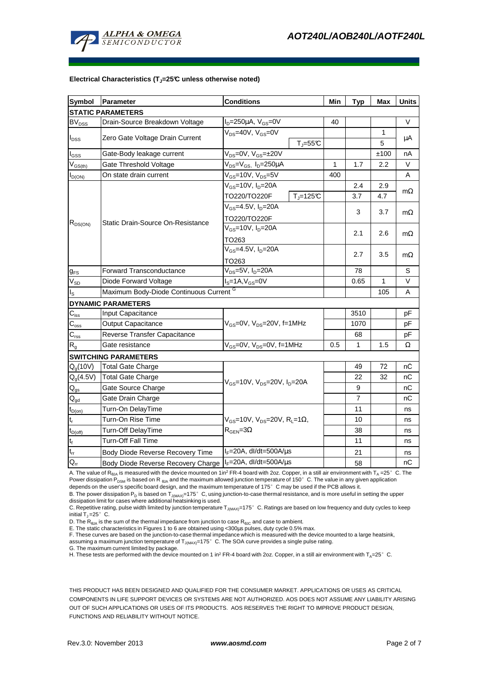

#### **Electrical Characteristics (TJ=25°C unless otherwise noted)**

| <b>Symbol</b>                                                      | Parameter                                             | <b>Conditions</b>                                                                        |              | Min  | <b>Typ</b> | Max    | <b>Units</b> |  |  |  |  |
|--------------------------------------------------------------------|-------------------------------------------------------|------------------------------------------------------------------------------------------|--------------|------|------------|--------|--------------|--|--|--|--|
| <b>STATIC PARAMETERS</b>                                           |                                                       |                                                                                          |              |      |            |        |              |  |  |  |  |
| BV <sub>DSS</sub>                                                  | Drain-Source Breakdown Voltage                        | $I_D = 250 \mu A$ , $V_{GS} = 0V$                                                        |              | 40   |            |        | $\vee$       |  |  |  |  |
|                                                                    |                                                       | $V_{DS}$ =40V, $V_{GS}$ =0V<br>$T_{\rm J} = 55$ °C                                       |              |      |            | 1      |              |  |  |  |  |
| $I_{DSS}$                                                          | Zero Gate Voltage Drain Current                       |                                                                                          |              |      |            | 5      | μA           |  |  |  |  |
| $I_{GSS}$                                                          | Gate-Body leakage current                             | $V_{DS} = 0V$ , $V_{GS} = \pm 20V$                                                       |              |      |            | ±100   | nA           |  |  |  |  |
| $V_{GS(th)}$                                                       | Gate Threshold Voltage                                | $V_{DS} = V_{GS}$ , $I_D = 250 \mu A$                                                    |              | 1    | 1.7        | 2.2    | V            |  |  |  |  |
| $I_{D(ON)}$                                                        | $V_{GS}$ =10V, $V_{DS}$ =5V<br>On state drain current |                                                                                          | 400          |      |            | A      |              |  |  |  |  |
| $R_{DS(ON)}$                                                       | Static Drain-Source On-Resistance                     | $V_{GS}$ =10V, $I_D$ =20A                                                                |              |      | 2.4        | 2.9    | $m\Omega$    |  |  |  |  |
|                                                                    |                                                       | TO220/TO220F                                                                             | $T_J = 125C$ |      | 3.7        | 4.7    |              |  |  |  |  |
|                                                                    |                                                       | $V_{GS} = 4.5V, I_D = 20A$                                                               |              |      | 3          |        |              |  |  |  |  |
|                                                                    |                                                       | TO220/TO220F                                                                             |              |      |            | 3.7    | $m\Omega$    |  |  |  |  |
|                                                                    |                                                       | $V_{GS}$ =10V, $I_{D}$ =20A                                                              |              |      | 2.1        | 2.6    | $m\Omega$    |  |  |  |  |
|                                                                    |                                                       | TO263                                                                                    |              |      |            |        |              |  |  |  |  |
|                                                                    |                                                       | $V_{GS} = 4.5V, I_D = 20A$<br>TO263                                                      |              |      | 2.7        | 3.5    | $m\Omega$    |  |  |  |  |
|                                                                    |                                                       |                                                                                          |              |      |            |        |              |  |  |  |  |
| $g_{FS}$                                                           | <b>Forward Transconductance</b>                       | $V_{DS}$ =5V, $I_D$ =20A                                                                 |              |      | 78         |        | S            |  |  |  |  |
| $V_{SD}$                                                           | $IS=1A, VGS=0V$<br>Diode Forward Voltage              |                                                                                          |              | 0.65 | 1          | $\vee$ |              |  |  |  |  |
| Maximum Body-Diode Continuous Current G<br>$\mathsf{I}_\mathsf{S}$ |                                                       |                                                                                          |              |      |            | 105    | A            |  |  |  |  |
|                                                                    | <b>DYNAMIC PARAMETERS</b>                             |                                                                                          |              |      |            |        |              |  |  |  |  |
| $C_{\rm iss}$                                                      | Input Capacitance                                     | $V_{GS}$ =0V, $V_{DS}$ =20V, f=1MHz                                                      |              |      | 3510       |        | pF           |  |  |  |  |
| $C_{\text{oss}}$                                                   | Output Capacitance                                    |                                                                                          |              |      | 1070       |        | pF           |  |  |  |  |
| $\mathsf{C}_{\mathsf{rss}}$                                        | Reverse Transfer Capacitance                          |                                                                                          |              |      | 68         |        | pF           |  |  |  |  |
| R <sub>g</sub>                                                     | Gate resistance                                       | $V_{GS}$ =0V, $V_{DS}$ =0V, f=1MHz                                                       |              | 0.5  | 1          | 1.5    | Ω            |  |  |  |  |
|                                                                    | <b>SWITCHING PARAMETERS</b>                           |                                                                                          |              |      |            |        |              |  |  |  |  |
| Q <sub>q</sub> (10V)                                               | <b>Total Gate Charge</b>                              | $V_{GS}$ =10V, $V_{DS}$ =20V, $I_{D}$ =20A                                               |              |      | 49         | 72     | nС           |  |  |  |  |
| $Q_g(4.5V)$                                                        | <b>Total Gate Charge</b>                              |                                                                                          |              |      | 22         | 32     | nC           |  |  |  |  |
| $\mathbf{Q}_\text{gs}$                                             | Gate Source Charge                                    |                                                                                          |              |      | 9          |        | nС           |  |  |  |  |
| $Q_{gd}$                                                           | Gate Drain Charge                                     |                                                                                          |              |      | 7          |        | nС           |  |  |  |  |
| $t_{D(on)}$                                                        | Turn-On DelayTime                                     | $V_{GS}$ =10V, $V_{DS}$ =20V, R <sub>L</sub> =1 $\Omega$ ,<br>$R_{\text{GEN}} = 3\Omega$ |              |      | 11         |        | ns           |  |  |  |  |
| $\mathsf{t}_{\sf r}$                                               | Turn-On Rise Time                                     |                                                                                          |              |      | 10         |        | ns           |  |  |  |  |
| $t_{D(off)}$                                                       | Turn-Off DelayTime                                    |                                                                                          |              |      | 38         |        | ns           |  |  |  |  |
| $t_f$                                                              | Turn-Off Fall Time                                    |                                                                                          |              |      | 11         |        | ns           |  |  |  |  |
| $t_{rr}$                                                           | Body Diode Reverse Recovery Time                      | $I_F = 20A$ , dl/dt=500A/ $\mu$ s                                                        |              |      | 21         |        | ns           |  |  |  |  |
| Qr                                                                 | Body Diode Reverse Recovery Charge                    | $I_F$ =20A, dl/dt=500A/ $\mu$ s                                                          |              |      | 58         |        | nС           |  |  |  |  |

A. The value of R<sub>ala</sub> is measured with the device mounted on 1in<sup>2</sup> FR-4 board with 2oz. Copper, in a still air environment with T<sub>a</sub> =25°C. The Power dissipation P<sub>DSM</sub> is based on R <sub>θJA</sub> and the maximum allowed junction temperature of 150°C. The value in any given application depends on the user's specific board design, and the maximum temperature of 175°C may be used if the PCB allows it.

B. The power dissipation P<sub>D</sub> is based on T<sub>J(MAX)</sub>=175°C, using junction-to-case thermal resistance, and is more useful in setting the upper dissipation limit for cases where additional heatsinking is used.

C. Repetitive rating, pulse width limited by junction temperature T<sub>J(MAX)</sub>=175° C. Ratings are based on low frequency and duty cycles to keep initial  $T_J = 25^\circ$  C.

D. The  $R_{\theta JA}$  is the sum of the thermal impedance from junction to case  $R_{\theta JC}$  and case to ambient.

E. The static characteristics in Figures 1 to 6 are obtained using <300µs pulses, duty cycle 0.5% max.

F. These curves are based on the junction-to-case thermal impedance which is measured with the device mounted to a large heatsink, assuming a maximum junction temperature of  $T_{J(MAX)}=175^{\circ}$  C. The SOA curve provides a single pulse rating.

G. The maximum current limited by package.

H. These tests are performed with the device mounted on 1 in<sup>2</sup> FR-4 board with 2oz. Copper, in a still air environment with T<sub>A</sub>=25°C.

THIS PRODUCT HAS BEEN DESIGNED AND QUALIFIED FOR THE CONSUMER MARKET. APPLICATIONS OR USES AS CRITICAL COMPONENTS IN LIFE SUPPORT DEVICES OR SYSTEMS ARE NOT AUTHORIZED. AOS DOES NOT ASSUME ANY LIABILITY ARISING OUT OF SUCH APPLICATIONS OR USES OF ITS PRODUCTS. AOS RESERVES THE RIGHT TO IMPROVE PRODUCT DESIGN, FUNCTIONS AND RELIABILITY WITHOUT NOTICE.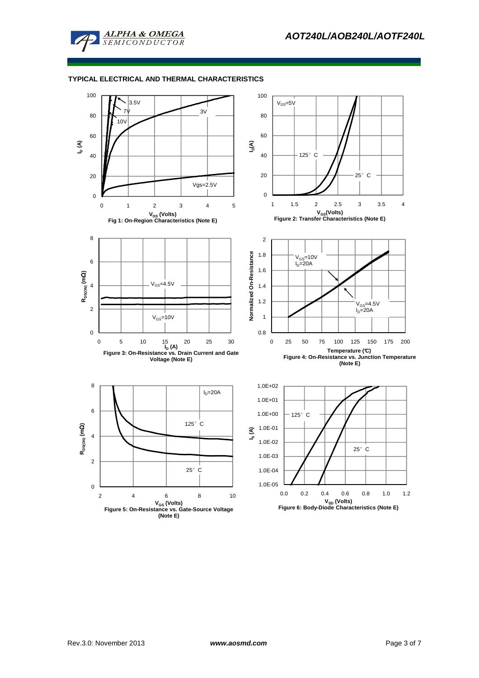

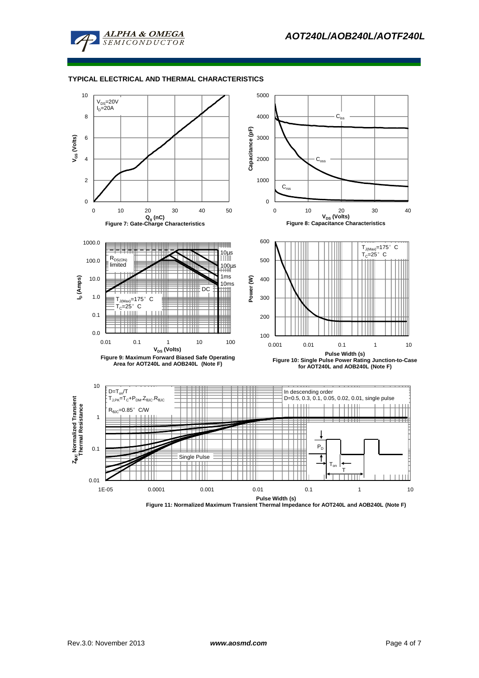



**Figure 11: Normalized Maximum Transient Thermal Impedance for AOT240L and AOB240L (Note F)**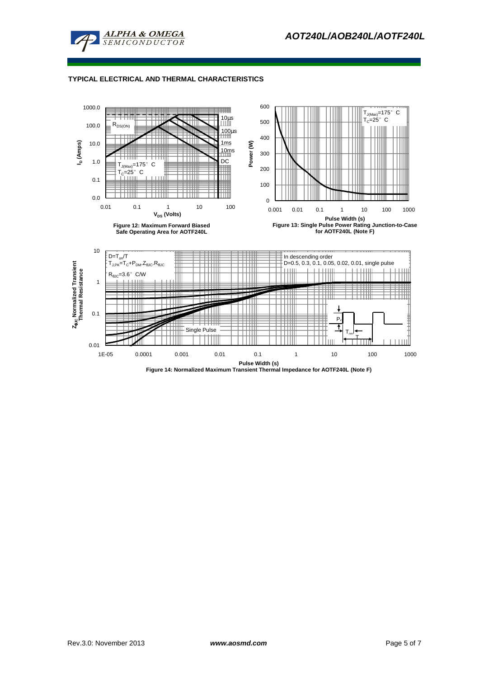



**Figure 14: Normalized Maximum Transient Thermal Impedance for AOTF240L (Note F)**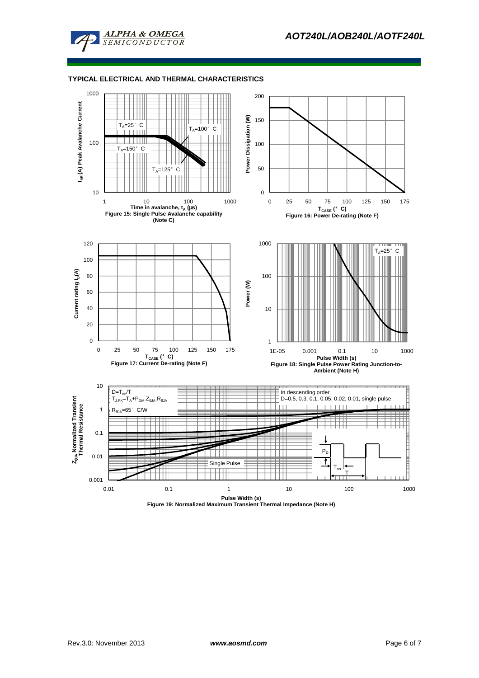